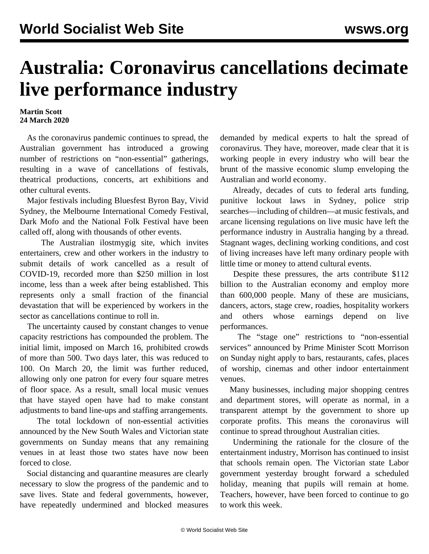## **Australia: Coronavirus cancellations decimate live performance industry**

## **Martin Scott 24 March 2020**

 As the coronavirus pandemic continues to spread, the Australian government has introduced a growing number of restrictions on "non-essential" gatherings, resulting in a wave of cancellations of festivals, theatrical productions, concerts, art exhibitions and other cultural events.

 Major festivals including Bluesfest Byron Bay, Vivid Sydney, the Melbourne International Comedy Festival, Dark Mofo and the National Folk Festival have been called off, along with thousands of other events.

 The Australian [ilostmygig](https://ilostmygig.net.au/) site, which invites entertainers, crew and other workers in the industry to submit details of work cancelled as a result of COVID-19, recorded more than \$250 million in lost income, less than a week after being established. This represents only a small fraction of the financial devastation that will be experienced by workers in the sector as cancellations continue to roll in.

 The uncertainty caused by constant changes to venue capacity restrictions has compounded the problem. The initial limit, imposed on March 16, prohibited crowds of more than 500. Two days later, this was reduced to 100. On March 20, the limit was further reduced, allowing only one patron for every four square metres of floor space. As a result, small local music venues that have stayed open have had to make constant adjustments to band line-ups and staffing arrangements.

 The total lockdown of non-essential activities announced by the New South Wales and Victorian state governments on Sunday means that any remaining venues in at least those two states have now been forced to close.

 Social distancing and quarantine measures are clearly necessary to slow the progress of the pandemic and to save lives. State and federal governments, however, have repeatedly undermined and blocked measures demanded by medical experts to halt the spread of coronavirus. They have, moreover, made clear that it is working people in every industry who will bear the brunt of the massive economic slump enveloping the Australian and world economy.

 Already, decades of cuts to federal arts funding, punitive lockout laws in Sydney, police strip searches—including of children—at music festivals, and arcane licensing regulations on live music have left the performance industry in Australia hanging by a thread. Stagnant wages, declining working conditions, and cost of living increases have left many ordinary people with little time or money to attend cultural events.

 Despite these pressures, the arts contribute \$112 billion to the Australian economy and employ more than 600,000 people. Many of these are musicians, dancers, actors, stage crew, roadies, hospitality workers and others whose earnings depend on live performances.

 The "stage one" restrictions to "non-essential services" announced by Prime Minister Scott Morrison on Sunday night apply to bars, restaurants, cafes, places of worship, cinemas and other indoor entertainment venues.

 Many businesses, including major shopping centres and department stores, will operate as normal, in a transparent attempt by the government to shore up corporate profits. This means the coronavirus will continue to spread throughout Australian cities.

 Undermining the rationale for the closure of the entertainment industry, Morrison has continued to insist that schools remain open. The Victorian state Labor government yesterday brought forward a scheduled holiday, meaning that pupils will remain at home. Teachers, however, have been forced to continue to go to work this week.